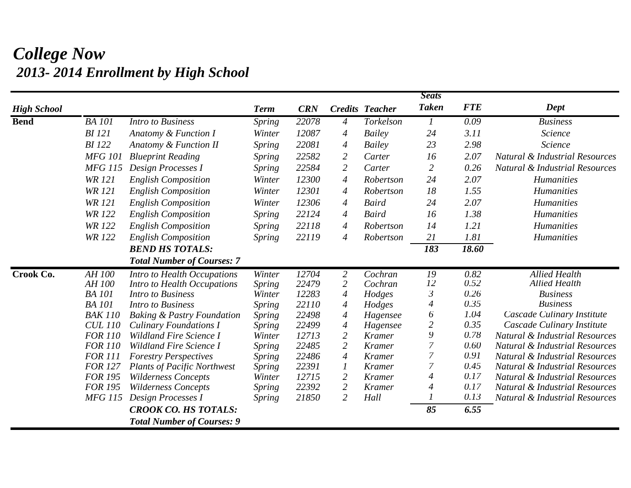## *College Now 2013- 2014 Enrollment by High School*

|                    |                |                                       |               |            |                  |                        | <b>Seats</b>     |            |                                           |
|--------------------|----------------|---------------------------------------|---------------|------------|------------------|------------------------|------------------|------------|-------------------------------------------|
| <b>High School</b> |                |                                       | <b>Term</b>   | <b>CRN</b> |                  | <b>Credits Teacher</b> | <b>Taken</b>     | <b>FTE</b> | Dept                                      |
| <b>Bend</b>        | <b>BA</b> 101  | <b>Intro to Business</b>              | <b>Spring</b> | 22078      | $\overline{A}$   | Torkelson              | $\boldsymbol{l}$ | 0.09       | <b>Business</b>                           |
|                    | <b>BI</b> 121  | Anatomy & Function I                  | Winter        | 12087      | $\boldsymbol{4}$ | <b>Bailey</b>          | 24               | 3.11       | Science                                   |
|                    | <b>BI</b> 122  | <b>Anatomy &amp; Function II</b>      | <b>Spring</b> | 22081      | 4                | Bailey                 | 23               | 2.98       | Science                                   |
|                    | <b>MFG 101</b> | <b>Blueprint Reading</b>              | <i>Spring</i> | 22582      | $\overline{2}$   | Carter                 | 16               | 2.07       | <b>Natural &amp; Industrial Resources</b> |
|                    | <b>MFG 115</b> | Design Processes I                    | <b>Spring</b> | 22584      | $\overline{2}$   | Carter                 | $\overline{2}$   | 0.26       | <b>Natural &amp; Industrial Resources</b> |
|                    | <b>WR 121</b>  | <b>English Composition</b>            | Winter        | 12300      | $\overline{4}$   | Robertson              | 24               | 2.07       | <b>Humanities</b>                         |
|                    | <b>WR 121</b>  | <b>English Composition</b>            | Winter        | 12301      | $\overline{A}$   | Robertson              | 18               | 1.55       | <b>Humanities</b>                         |
|                    | <b>WR 121</b>  | <b>English Composition</b>            | Winter        | 12306      | $\boldsymbol{4}$ | <b>Baird</b>           | 24               | 2.07       | <b>Humanities</b>                         |
|                    | <b>WR 122</b>  | <b>English Composition</b>            | <b>Spring</b> | 22124      | $\overline{4}$   | Baird                  | 16               | 1.38       | <b>Humanities</b>                         |
|                    | <b>WR 122</b>  | <b>English Composition</b>            | <b>Spring</b> | 22118      | $\boldsymbol{4}$ | Robertson              | 14               | 1.21       | <b>Humanities</b>                         |
|                    | <b>WR 122</b>  | <b>English Composition</b>            | <i>Spring</i> | 22119      | $\boldsymbol{4}$ | Robertson              | 21               | 1.81       | <b>Humanities</b>                         |
|                    |                | <b>BEND HS TOTALS:</b>                |               |            |                  |                        | 183              | 18.60      |                                           |
|                    |                | <b>Total Number of Courses: 7</b>     |               |            |                  |                        |                  |            |                                           |
| Crook Co.          | AH 100         | Intro to Health Occupations           | Winter        | 12704      | $\overline{2}$   | Cochran                | 19               | 0.82       | <b>Allied Health</b>                      |
|                    | AH 100         | Intro to Health Occupations           | <b>Spring</b> | 22479      | $\overline{2}$   | Cochran                | 12               | 0.52       | <b>Allied Health</b>                      |
|                    | <b>BA</b> 101  | <b>Intro to Business</b>              | Winter        | 12283      | $\overline{4}$   | Hodges                 | 3                | 0.26       | <b>Business</b>                           |
|                    | <b>BA</b> 101  | <b>Intro to Business</b>              | <b>Spring</b> | 22110      | $\overline{4}$   | Hodges                 | 4                | 0.35       | <b>Business</b>                           |
|                    | <b>BAK 110</b> | <b>Baking &amp; Pastry Foundation</b> | <i>Spring</i> | 22498      | $\overline{4}$   | Hagensee               | 6                | 1.04       | Cascade Culinary Institute                |
|                    | <b>CUL 110</b> | <b>Culinary Foundations I</b>         | <b>Spring</b> | 22499      | $\overline{4}$   | Hagensee               | $\overline{2}$   | 0.35       | Cascade Culinary Institute                |
|                    | <b>FOR 110</b> | Wildland Fire Science I               | Winter        | 12713      | $\overline{2}$   | <b>Kramer</b>          | 9                | 0.78       | <b>Natural &amp; Industrial Resources</b> |
|                    | <b>FOR 110</b> | <b>Wildland Fire Science I</b>        | <b>Spring</b> | 22485      | $\overline{2}$   | <b>Kramer</b>          | 7                | 0.60       | <b>Natural &amp; Industrial Resources</b> |
|                    | <b>FOR 111</b> | <b>Forestry Perspectives</b>          | <b>Spring</b> | 22486      | $\overline{4}$   | <b>Kramer</b>          | 7                | 0.91       | <b>Natural &amp; Industrial Resources</b> |
|                    | <b>FOR 127</b> | <b>Plants of Pacific Northwest</b>    | <b>Spring</b> | 22391      | 1                | <b>Kramer</b>          | 7                | 0.45       | <b>Natural &amp; Industrial Resources</b> |
|                    | <b>FOR 195</b> | <b>Wilderness Concepts</b>            | Winter        | 12715      | $\overline{2}$   | <b>Kramer</b>          | 4                | 0.17       | <b>Natural &amp; Industrial Resources</b> |
|                    | <b>FOR 195</b> | <b>Wilderness Concepts</b>            | Spring        | 22392      | $\overline{2}$   | <b>Kramer</b>          | 4                | 0.17       | <b>Natural &amp; Industrial Resources</b> |
|                    | <b>MFG 115</b> | Design Processes I                    | <b>Spring</b> | 21850      | $\overline{2}$   | Hall                   |                  | 0.13       | Natural & Industrial Resources            |
|                    |                | <b>CROOK CO. HS TOTALS:</b>           |               |            |                  |                        | 85               | 6.55       |                                           |
|                    |                | <b>Total Number of Courses: 9</b>     |               |            |                  |                        |                  |            |                                           |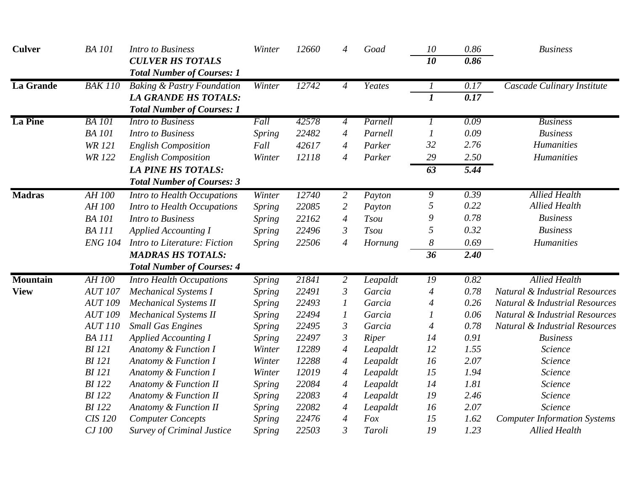| <b>Culver</b>    | <b>BA</b> 101  | <b>Intro to Business</b>                                         | Winter        | 12660 | $\overline{4}$           | Goad         | 10               | 0.86              | <b>Business</b>                           |
|------------------|----------------|------------------------------------------------------------------|---------------|-------|--------------------------|--------------|------------------|-------------------|-------------------------------------------|
|                  |                | <b>CULVER HS TOTALS</b><br><b>Total Number of Courses: 1</b>     |               |       |                          |              | 10               | 0.86              |                                           |
| <b>La Grande</b> | <b>BAK 110</b> | <b>Baking &amp; Pastry Foundation</b>                            | Winter        | 12742 | $\overline{4}$           | Yeates       |                  | 0.17              | Cascade Culinary Institute                |
|                  |                | <b>LA GRANDE HS TOTALS:</b><br><b>Total Number of Courses: 1</b> |               |       |                          |              | $\boldsymbol{l}$ | $\overline{0.17}$ |                                           |
| <b>La Pine</b>   | <b>BA</b> 101  | <b>Intro to Business</b>                                         | Fall          | 42578 | $\overline{4}$           | Parnell      |                  | 0.09              | <b>Business</b>                           |
|                  | <b>BA</b> 101  | <b>Intro to Business</b>                                         | Spring        | 22482 | 4                        | Parnell      |                  | 0.09              | <b>Business</b>                           |
|                  | <b>WR 121</b>  | <b>English Composition</b>                                       | Fall          | 42617 | 4                        | Parker       | 32               | 2.76              | Humanities                                |
|                  | <b>WR122</b>   | <b>English Composition</b>                                       | Winter        | 12118 | $\overline{4}$           | Parker       | 29               | 2.50              | Humanities                                |
|                  |                | <b>LA PINE HS TOTALS:</b>                                        |               |       |                          |              | 63               | 5.44              |                                           |
|                  |                | <b>Total Number of Courses: 3</b>                                |               |       |                          |              |                  |                   |                                           |
| <b>Madras</b>    | <b>AH 100</b>  | Intro to Health Occupations                                      | Winter        | 12740 | 2                        | Payton       | 9                | 0.39              | <b>Allied Health</b>                      |
|                  | AH 100         | Intro to Health Occupations                                      | <b>Spring</b> | 22085 | $\overline{2}$           | Payton       | 5                | 0.22              | <b>Allied Health</b>                      |
|                  | <b>BA</b> 101  | <b>Intro to Business</b>                                         | Spring        | 22162 | $\overline{4}$           | <b>Tsou</b>  | 9                | 0.78              | <b>Business</b>                           |
|                  | <b>BA</b> 111  | <b>Applied Accounting I</b>                                      | <b>Spring</b> | 22496 | $\mathfrak{Z}$           | <b>Tsou</b>  | 5                | 0.32              | <b>Business</b>                           |
|                  | <b>ENG 104</b> | Intro to Literature: Fiction                                     | <b>Spring</b> | 22506 | $\overline{4}$           | Hornung      | 8                | 0.69              | Humanities                                |
|                  |                | <b>MADRAS HS TOTALS:</b>                                         |               |       |                          |              | 36               | 2.40              |                                           |
|                  |                | <b>Total Number of Courses: 4</b>                                |               |       |                          |              |                  |                   |                                           |
| <b>Mountain</b>  | AH 100         | <b>Intro Health Occupations</b>                                  | <i>Spring</i> | 21841 | 2                        | Leapaldt     | 19               | 0.82              | <b>Allied Health</b>                      |
| <b>View</b>      | <b>AUT 107</b> | <b>Mechanical Systems I</b>                                      | Spring        | 22491 | $\mathfrak{Z}$           | Garcia       | $\overline{4}$   | 0.78              | <b>Natural &amp; Industrial Resources</b> |
|                  | <b>AUT 109</b> | <b>Mechanical Systems II</b>                                     | <b>Spring</b> | 22493 | 1                        | Garcia       | 4                | 0.26              | <b>Natural &amp; Industrial Resources</b> |
|                  | <b>AUT 109</b> | <b>Mechanical Systems II</b>                                     | Spring        | 22494 | 1                        | Garcia       |                  | 0.06              | <b>Natural &amp; Industrial Resources</b> |
|                  | <b>AUT 110</b> | <b>Small Gas Engines</b>                                         | <i>Spring</i> | 22495 | $\mathfrak{Z}$           | Garcia       | $\overline{4}$   | 0.78              | Natural & Industrial Resources            |
|                  | <b>BA</b> 111  | <b>Applied Accounting I</b>                                      | Spring        | 22497 | $\mathfrak{Z}$           | <b>Riper</b> | 14               | 0.91              | <b>Business</b>                           |
|                  | <b>BI</b> 121  | Anatomy & Function I                                             | Winter        | 12289 | $\overline{4}$           | Leapaldt     | 12               | 1.55              | Science                                   |
|                  | <b>BI</b> 121  | Anatomy & Function I                                             | Winter        | 12288 | 4                        | Leapaldt     | 16               | 2.07              | Science                                   |
|                  | <b>BI</b> 121  | Anatomy & Function I                                             | Winter        | 12019 | $\overline{4}$           | Leapaldt     | 15               | 1.94              | Science                                   |
|                  | <b>BI</b> 122  | Anatomy & Function II                                            | <b>Spring</b> | 22084 | $\overline{4}$           | Leapaldt     | 14               | 1.81              | Science                                   |
|                  | <b>BI</b> 122  | Anatomy & Function II                                            | Spring        | 22083 | $\overline{4}$           | Leapaldt     | 19               | 2.46              | Science                                   |
|                  | <b>BI</b> 122  | Anatomy & Function II                                            | Spring        | 22082 | $\overline{\mathcal{A}}$ | Leapaldt     | 16               | 2.07              | Science                                   |
|                  | <b>CIS 120</b> | <b>Computer Concepts</b>                                         | Spring        | 22476 | 4                        | Fox          | 15               | 1.62              | <b>Computer Information Systems</b>       |
|                  | CJ 100         | <b>Survey of Criminal Justice</b>                                | Spring        | 22503 | 3                        | Taroli       | 19               | 1.23              | <b>Allied Health</b>                      |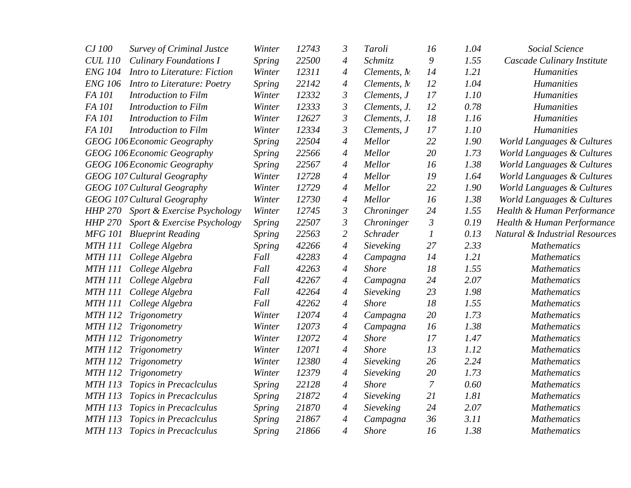| CJ 100         | <b>Survey of Criminal Justce</b>    | Winter        | 12743 | $\mathfrak{Z}$   | Taroli       | 16               | 1.04 | Social Science                 |
|----------------|-------------------------------------|---------------|-------|------------------|--------------|------------------|------|--------------------------------|
| <b>CUL 110</b> | <b>Culinary Foundations I</b>       | <b>Spring</b> | 22500 | $\overline{A}$   | Schmitz      | 9                | 1.55 | Cascade Culinary Institute     |
| <b>ENG 104</b> | Intro to Literature: Fiction        | Winter        | 12311 | $\overline{A}$   | Clements, M  | 14               | 1.21 | <b>Humanities</b>              |
| <b>ENG 106</b> | Intro to Literature: Poetry         | Spring        | 22142 | $\overline{4}$   | Clements, M  | 12               | 1.04 | Humanities                     |
| FA 101         | Introduction to Film                | Winter        | 12332 | $\mathfrak{Z}$   | Clements, J  | 17               | 1.10 | <b>Humanities</b>              |
| FA 101         | Introduction to Film                | Winter        | 12333 | $\mathfrak{Z}$   | Clements, J. | 12               | 0.78 | <b>Humanities</b>              |
| FA 101         | Introduction to Film                | Winter        | 12627 | $\mathfrak{Z}$   | Clements, J. | 18               | 1.16 | <b>Humanities</b>              |
| FA 101         | Introduction to Film                | Winter        | 12334 | $\mathfrak{Z}$   | Clements, J  | 17               | 1.10 | <b>Humanities</b>              |
|                | <b>GEOG 106 Economic Geography</b>  | Spring        | 22504 | $\overline{4}$   | Mellor       | 22               | 1.90 | World Languages & Cultures     |
|                | GEOG 106 Economic Geography         | <b>Spring</b> | 22566 | $\overline{4}$   | Mellor       | 20               | 1.73 | World Languages & Cultures     |
|                | GEOG 106 Economic Geography         | Spring        | 22567 | $\overline{A}$   | Mellor       | 16               | 1.38 | World Languages & Cultures     |
|                | GEOG 107 Cultural Geography         | Winter        | 12728 | $\overline{A}$   | Mellor       | 19               | 1.64 | World Languages & Cultures     |
|                | GEOG 107 Cultural Geography         | Winter        | 12729 | $\overline{A}$   | Mellor       | 22               | 1.90 | World Languages & Cultures     |
|                | GEOG 107 Cultural Geography         | Winter        | 12730 | $\overline{4}$   | Mellor       | 16               | 1.38 | World Languages & Cultures     |
|                | HHP 270 Sport & Exercise Psychology | Winter        | 12745 | $\mathfrak{Z}$   | Chroninger   | 24               | 1.55 | Health & Human Performance     |
| <b>HHP 270</b> | Sport & Exercise Psychology         | Spring        | 22507 | $\mathfrak{Z}$   | Chroninger   | $\mathfrak{Z}$   | 0.19 | Health & Human Performance     |
| <b>MFG 101</b> | <b>Blueprint Reading</b>            | Spring        | 22563 | $\overline{2}$   | Schrader     | 1                | 0.13 | Natural & Industrial Resources |
| <b>MTH 111</b> | College Algebra                     | Spring        | 42266 | $\overline{4}$   | Sieveking    | 27               | 2.33 | <b>Mathematics</b>             |
| <b>MTH 111</b> | College Algebra                     | Fall          | 42283 | $\overline{4}$   | Campagna     | 14               | 1.21 | <b>Mathematics</b>             |
| <b>MTH 111</b> | College Algebra                     | Fall          | 42263 | $\overline{4}$   | <b>Shore</b> | 18               | 1.55 | <b>Mathematics</b>             |
| <b>MTH 111</b> | College Algebra                     | Fall          | 42267 | $\overline{4}$   | Campagna     | 24               | 2.07 | <b>Mathematics</b>             |
| <b>MTH 111</b> | College Algebra                     | Fall          | 42264 | $\boldsymbol{4}$ | Sieveking    | 23               | 1.98 | <b>Mathematics</b>             |
| <b>MTH 111</b> | College Algebra                     | Fall          | 42262 | $\overline{A}$   | <b>Shore</b> | 18               | 1.55 | <b>Mathematics</b>             |
| <b>MTH 112</b> | Trigonometry                        | Winter        | 12074 | $\overline{4}$   | Campagna     | 20               | 1.73 | <b>Mathematics</b>             |
| <b>MTH 112</b> | Trigonometry                        | Winter        | 12073 | $\boldsymbol{4}$ | Campagna     | 16               | 1.38 | <b>Mathematics</b>             |
| <b>MTH 112</b> | Trigonometry                        | Winter        | 12072 | $\overline{4}$   | <b>Shore</b> | 17               | 1.47 | <b>Mathematics</b>             |
| <b>MTH 112</b> | Trigonometry                        | Winter        | 12071 | $\boldsymbol{4}$ | <b>Shore</b> | 13               | 1.12 | <b>Mathematics</b>             |
| <b>MTH 112</b> | Trigonometry                        | Winter        | 12380 | 4                | Sieveking    | 26               | 2.24 | <b>Mathematics</b>             |
| <b>MTH 112</b> | Trigonometry                        | Winter        | 12379 | $\overline{4}$   | Sieveking    | 20               | 1.73 | <b>Mathematics</b>             |
| <b>MTH 113</b> | Topics in Precaclculus              | <b>Spring</b> | 22128 | $\overline{4}$   | <b>Shore</b> | $\boldsymbol{7}$ | 0.60 | <b>Mathematics</b>             |
| <b>MTH 113</b> | Topics in Precaclculus              | Spring        | 21872 | $\boldsymbol{4}$ | Sieveking    | 21               | 1.81 | <b>Mathematics</b>             |
| <b>MTH 113</b> | Topics in Precaclculus              | <b>Spring</b> | 21870 | $\boldsymbol{4}$ | Sieveking    | 24               | 2.07 | <b>Mathematics</b>             |
| <b>MTH 113</b> | Topics in Precaclculus              | <i>Spring</i> | 21867 | 4                | Campagna     | 36               | 3.11 | <b>Mathematics</b>             |
| <b>MTH 113</b> | Topics in Precaclculus              | Spring        | 21866 | $\overline{4}$   | <b>Shore</b> | 16               | 1.38 | <b>Mathematics</b>             |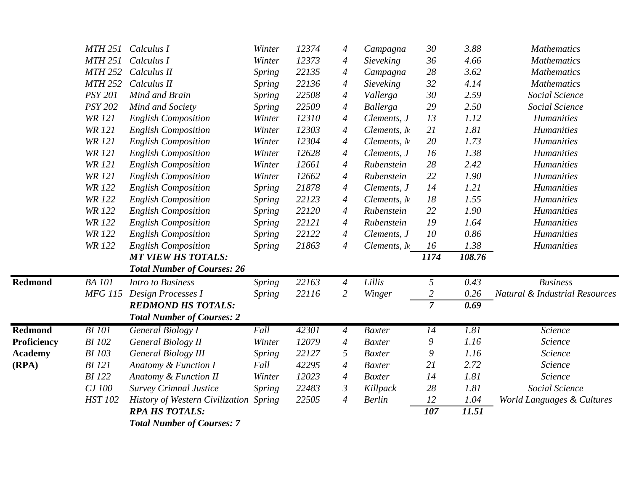|                | <b>MTH 251</b> | Calculus I                             | Winter        | 12374 | 4                        | Campagna      | 30             | 3.88   | <b>Mathematics</b>             |
|----------------|----------------|----------------------------------------|---------------|-------|--------------------------|---------------|----------------|--------|--------------------------------|
|                | <b>MTH 251</b> | Calculus I                             | Winter        | 12373 | 4                        | Sieveking     | 36             | 4.66   | <b>Mathematics</b>             |
|                | <b>MTH 252</b> | Calculus II                            | Spring        | 22135 | $\overline{A}$           | Campagna      | 28             | 3.62   | <b>Mathematics</b>             |
|                | <b>MTH 252</b> | Calculus II                            | <b>Spring</b> | 22136 | $\overline{\mathcal{A}}$ | Sieveking     | 32             | 4.14   | <b>Mathematics</b>             |
|                | <b>PSY 201</b> | Mind and Brain                         | <b>Spring</b> | 22508 | $\overline{A}$           | Vallerga      | 30             | 2.59   | Social Science                 |
|                | <b>PSY 202</b> | Mind and Society                       | <b>Spring</b> | 22509 | $\overline{A}$           | Ballerga      | 29             | 2.50   | Social Science                 |
|                | <b>WR</b> 121  | <b>English Composition</b>             | Winter        | 12310 | $\overline{A}$           | Clements, J   | 13             | 1.12   | <b>Humanities</b>              |
|                | <b>WR 121</b>  | <b>English Composition</b>             | Winter        | 12303 | $\overline{\mathcal{A}}$ | Clements, M   | 21             | 1.81   | <b>Humanities</b>              |
|                | <b>WR 121</b>  | <b>English Composition</b>             | Winter        | 12304 | $\overline{A}$           | Clements, M   | 20             | 1.73   | <b>Humanities</b>              |
|                | <b>WR 121</b>  | <b>English Composition</b>             | Winter        | 12628 | $\boldsymbol{4}$         | Clements, J   | 16             | 1.38   | <b>Humanities</b>              |
|                | <b>WR</b> 121  | <b>English Composition</b>             | Winter        | 12661 | $\overline{A}$           | Rubenstein    | 28             | 2.42   | <b>Humanities</b>              |
|                | <b>WR 121</b>  | <b>English Composition</b>             | Winter        | 12662 | $\overline{\mathcal{A}}$ | Rubenstein    | 22             | 1.90   | <b>Humanities</b>              |
|                | <b>WR 122</b>  | <b>English Composition</b>             | <b>Spring</b> | 21878 | $\overline{4}$           | Clements, J   | 14             | 1.21   | <b>Humanities</b>              |
|                | <b>WR 122</b>  | <b>English Composition</b>             | <b>Spring</b> | 22123 | $\overline{\mathcal{A}}$ | Clements, M   | $18\,$         | 1.55   | <b>Humanities</b>              |
|                | <b>WR122</b>   | <b>English Composition</b>             | <i>Spring</i> | 22120 | $\overline{A}$           | Rubenstein    | 22             | 1.90   | <b>Humanities</b>              |
|                | <b>WR 122</b>  | <b>English Composition</b>             | <b>Spring</b> | 22121 | $\overline{\mathcal{A}}$ | Rubenstein    | 19             | 1.64   | <b>Humanities</b>              |
|                | <b>WR122</b>   | <b>English Composition</b>             | <b>Spring</b> | 22122 | $\overline{4}$           | Clements, J   | 10             | 0.86   | <b>Humanities</b>              |
|                | <b>WR 122</b>  | <b>English Composition</b>             | <b>Spring</b> | 21863 | $\overline{A}$           | Clements, M.  | 16             | 1.38   | <b>Humanities</b>              |
|                |                | <b>MT VIEW HS TOTALS:</b>              |               |       |                          |               | 1174           | 108.76 |                                |
|                |                | <b>Total Number of Courses: 26</b>     |               |       |                          |               |                |        |                                |
| <b>Redmond</b> | <b>BA</b> 101  | <b>Intro to Business</b>               | <b>Spring</b> | 22163 | $\overline{4}$           | Lillis        | 5              | 0.43   | <b>Business</b>                |
|                | <b>MFG 115</b> | Design Processes I                     | <b>Spring</b> | 22116 | 2                        | Winger        | $\overline{2}$ | 0.26   | Natural & Industrial Resources |
|                |                | <b>REDMOND HS TOTALS:</b>              |               |       |                          |               | $\overline{7}$ | 0.69   |                                |
|                |                | <b>Total Number of Courses: 2</b>      |               |       |                          |               |                |        |                                |
| <b>Redmond</b> | <b>BI</b> 101  | <b>General Biology I</b>               | Fall          | 42301 | $\overline{4}$           | <b>Baxter</b> | 14             | 1.81   | Science                        |
| Proficiency    | <b>BI</b> 102  | General Biology II                     | Winter        | 12079 | $\overline{4}$           | <b>Baxter</b> | 9              | 1.16   | Science                        |
| <b>Academy</b> | <b>BI</b> 103  | <b>General Biology III</b>             | <b>Spring</b> | 22127 | 5                        | <b>Baxter</b> | 9              | 1.16   | Science                        |
| (RPA)          | <b>BI</b> 121  | Anatomy & Function I                   | Fall          | 42295 | $\overline{4}$           | <b>Baxter</b> | 21             | 2.72   | Science                        |
|                | <b>BI</b> 122  | Anatomy & Function II                  | Winter        | 12023 | $\overline{4}$           | <b>Baxter</b> | 14             | 1.81   | Science                        |
|                | CJ 100         | <b>Survey Crimnal Justice</b>          | <b>Spring</b> | 22483 | $\mathfrak{Z}$           | Killpack      | 28             | 1.81   | Social Science                 |
|                | <b>HST 102</b> | <b>History of Western Civilization</b> | <b>Spring</b> | 22505 | $\overline{4}$           | <b>Berlin</b> | 12             | 1.04   | World Languages & Cultures     |
|                |                | <b>RPA HS TOTALS:</b>                  |               |       |                          |               | 107            | 11.51  |                                |
|                |                | <b>Total Number of Courses: 7</b>      |               |       |                          |               |                |        |                                |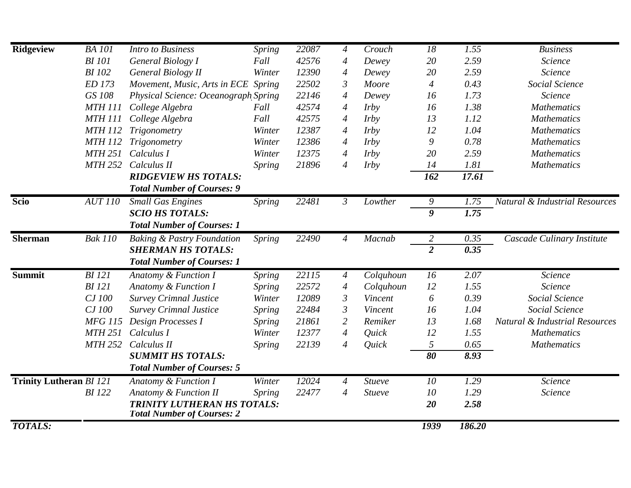| <b>Ridgeview</b>               | <b>BA</b> 101  | <b>Intro to Business</b>                                         | Spring | 22087 | $\overline{4}$           | Crouch        | 18             | 1.55              | <b>Business</b>                           |
|--------------------------------|----------------|------------------------------------------------------------------|--------|-------|--------------------------|---------------|----------------|-------------------|-------------------------------------------|
|                                | <b>BI</b> 101  | General Biology I                                                | Fall   | 42576 | $\overline{4}$           | Dewey         | 20             | 2.59              | Science                                   |
|                                | <b>BI</b> 102  | <b>General Biology II</b>                                        | Winter | 12390 | $\overline{4}$           | Dewey         | 20             | 2.59              | Science                                   |
|                                | ED 173         | Movement, Music, Arts in ECE Spring                              |        | 22502 | $\mathfrak{Z}$           | Moore         | $\overline{4}$ | 0.43              | Social Science                            |
|                                | GS 108         | Physical Science: Oceanograph Spring                             |        | 22146 | $\overline{4}$           | Dewey         | 16             | 1.73              | Science                                   |
|                                | <b>MTH 111</b> | College Algebra                                                  | Fall   | 42574 | 4                        | <i>Irby</i>   | 16             | 1.38              | <b>Mathematics</b>                        |
|                                | <b>MTH 111</b> | College Algebra                                                  | Fall   | 42575 | $\overline{4}$           | <i>Irby</i>   | 13             | 1.12              | <b>Mathematics</b>                        |
|                                | <b>MTH 112</b> | Trigonometry                                                     | Winter | 12387 | $\overline{4}$           | <i>Irby</i>   | 12             | 1.04              | <b>Mathematics</b>                        |
|                                | <b>MTH 112</b> | Trigonometry                                                     | Winter | 12386 | $\overline{4}$           | <i>Irby</i>   | 9              | 0.78              | <b>Mathematics</b>                        |
|                                | <b>MTH 251</b> | Calculus I                                                       | Winter | 12375 | 4                        | <i>Irby</i>   | 20             | 2.59              | <b>Mathematics</b>                        |
|                                | <b>MTH 252</b> | Calculus II                                                      | Spring | 21896 | $\overline{4}$           | <i>Irby</i>   | 14             | 1.81              | <b>Mathematics</b>                        |
|                                |                | <b>RIDGEVIEW HS TOTALS:</b>                                      |        |       |                          |               | 162            | 17.61             |                                           |
|                                |                | <b>Total Number of Courses: 9</b>                                |        |       |                          |               |                |                   |                                           |
| <b>Scio</b>                    | <b>AUT 110</b> | Small Gas Engines                                                | Spring | 22481 | $\mathfrak{Z}$           | Lowther       | 9              | 1.75              | <b>Natural &amp; Industrial Resources</b> |
|                                |                | <b>SCIO HS TOTALS:</b>                                           |        |       |                          |               | $\overline{g}$ | $\overline{1.75}$ |                                           |
|                                |                | <b>Total Number of Courses: 1</b>                                |        |       |                          |               |                |                   |                                           |
| Sherman                        | <b>Bak 110</b> | <b>Baking &amp; Pastry Foundation</b>                            | Spring | 22490 | $\overline{4}$           | Macnab        | $\overline{2}$ | 0.35              | Cascade Culinary Institute                |
|                                |                | <b>SHERMAN HS TOTALS:</b>                                        |        |       |                          |               | $\overline{2}$ | 0.35              |                                           |
|                                |                | <b>Total Number of Courses: 1</b>                                |        |       |                          |               |                |                   |                                           |
| Summit                         | <b>BI</b> 121  | Anatomy & Function I                                             | Spring | 22115 | $\overline{4}$           | Colquhoun     | 16             | 2.07              | Science                                   |
|                                | <b>BI</b> 121  | Anatomy & Function I                                             | Spring | 22572 | $\overline{4}$           | Colquhoun     | 12             | 1.55              | Science                                   |
|                                | CJ 100         | <b>Survey Crimnal Justice</b>                                    | Winter | 12089 | $\mathfrak{Z}$           | Vincent       | 6              | 0.39              | Social Science                            |
|                                | CJ 100         | <b>Survey Crimnal Justice</b>                                    | Spring | 22484 | $\mathfrak{Z}$           | Vincent       | 16             | 1.04              | Social Science                            |
|                                | <b>MFG 115</b> | Design Processes I                                               | Spring | 21861 | $\overline{2}$           | Remiker       | 13             | 1.68              | <b>Natural &amp; Industrial Resources</b> |
|                                | <b>MTH 251</b> | Calculus I                                                       | Winter | 12377 | $\overline{\mathcal{A}}$ | Quick         | 12             | 1.55              | <b>Mathematics</b>                        |
|                                | <b>MTH 252</b> | Calculus II                                                      | Spring | 22139 | 4                        | Quick         | 5              | 0.65              | <b>Mathematics</b>                        |
|                                |                | <b>SUMMIT HS TOTALS:</b>                                         |        |       |                          |               | 80             | 8.93              |                                           |
|                                |                | <b>Total Number of Courses: 5</b>                                |        |       |                          |               |                |                   |                                           |
| <b>Trinity Lutheran BI 121</b> |                | <b>Anatomy &amp; Function I</b>                                  | Winter | 12024 | $\overline{A}$           | <b>Stueve</b> | 10             | 1.29              | Science                                   |
|                                | <b>BI</b> 122  | Anatomy & Function II                                            | Spring | 22477 | $\overline{4}$           | Stueve        | 10             | 1.29              | Science                                   |
|                                |                | TRINITY LUTHERAN HS TOTALS:<br><b>Total Number of Courses: 2</b> |        |       |                          |               | 20             | 2.58              |                                           |
| <b>TOTALS:</b>                 |                |                                                                  |        |       |                          |               | <b>1939</b>    | 186.20            |                                           |